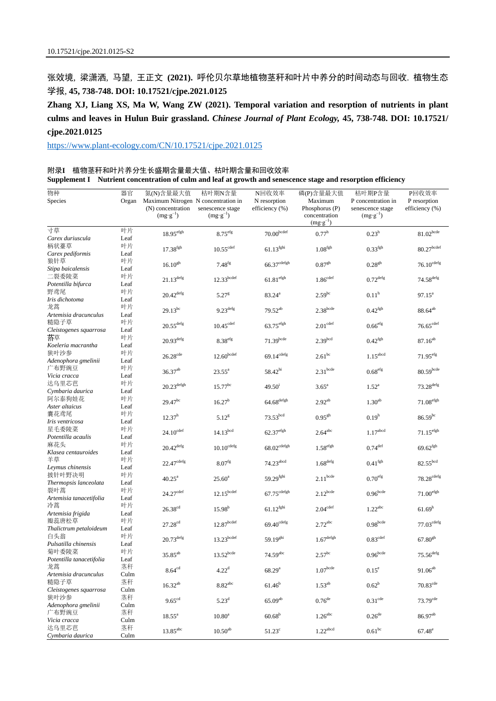张效境, 梁潇洒, 马望, 王正文 **(2021).** 呼伦贝尔草地植物茎秆和叶片中养分的时间动态与回收. 植物生态 学报, **45, 738-748. DOI: 10.17521/cjpe.2021.0125**

**Zhang XJ, Liang XS, Ma W, Wang ZW (2021). Temporal variation and resorption of nutrients in plant culms and leaves in Hulun Buir grassland.** *Chinese Journal of Plant Ecology,* **45, 738-748. DOI: 10.17521/ cjpe.2021.0125**

<https://www.plant-ecology.com/CN/10.17521/cjpe.2021.0125>

|  | 附录I 植物茎秆和叶片养分生长盛期含量最大值、枯叶期含量和回收效率 | Supplement I Nutrient concentration of culm and leaf at growth and senescence stage and resorption efficiency |
|--|-----------------------------------|---------------------------------------------------------------------------------------------------------------|
|  |                                   |                                                                                                               |

| 物种                             | 器官         | 氮(N)含量最大值                                                                 | 枯叶期N含量                              | N回收效率                              | 磷(P)含量最大值                                                         | 枯叶期P含量                                                        | P回收效率                             |
|--------------------------------|------------|---------------------------------------------------------------------------|-------------------------------------|------------------------------------|-------------------------------------------------------------------|---------------------------------------------------------------|-----------------------------------|
| Species                        | Organ      | Maximum Nitrogen N concentration in<br>(N) concentration<br>$(mg g^{-1})$ | senescence stage<br>$(mg g^{-1})$   | N resorption<br>efficiency $(\% )$ | Maximum<br>Phosphorus (P)<br>concentration<br>$(mg \cdot g^{-1})$ | P concentration in<br>senescence stage<br>$(mg \cdot g^{-1})$ | P resorption<br>efficiency $(\%)$ |
| 寸草                             | 叶片         | $18.95^{\text{efgh}}$                                                     | 8.75 <sup>efg</sup>                 | 70.00 <sup>bcdef</sup>             | $0.77^{\rm h}$                                                    | $0.23^h$                                                      | $81.02^{\rm bede}$                |
| Carex duriuscula               | Leaf       |                                                                           |                                     |                                    |                                                                   |                                                               |                                   |
| 柄状薹草                           | 叶片         | $17.38^{\mathrm{fgh}}$                                                    | $10.55^{\rm cdef}$                  | $61.13$ <sup>fghi</sup>            | 1.08 <sup>fgh</sup>                                               | 0.33 <sup>fgh</sup>                                           | $80.27^{\rm bedef}$               |
| Carex pediformis               | Leaf       |                                                                           |                                     |                                    |                                                                   |                                                               |                                   |
| 狼针草                            | 叶片         | $16.10^{gh}$                                                              | $7.48^{1g}$                         | $66.37$ <sup>cdefgh</sup>          | 0.87 <sup>gh</sup>                                                | $0.28^{gh}$                                                   | $76.10^{\mathrm{cdefg}}$          |
| Stipa baicalensis              | Leaf       |                                                                           |                                     |                                    |                                                                   |                                                               |                                   |
| 二裂委陵菜                          | 叶片<br>Leaf | $21.13^{\rm defg}$                                                        | 12.33 <sup>bcdef</sup>              | $61.81$ <sup>efgh</sup>            | 1.86 <sup>cdef</sup>                                              | $0.72^{\rm defg}$                                             | $74.58^{\rm defg}$                |
| Potentilla bifurca<br>野鸢尾      | 叶片         |                                                                           |                                     |                                    |                                                                   |                                                               |                                   |
| Iris dichotoma                 | Leaf       | $20.42^{\text{defg}}$                                                     | 5.27 <sup>g</sup>                   | $83.24^a$                          | $2.59^{bc}$                                                       | 0.11 <sup>h</sup>                                             | $97.15^{\circ}$                   |
| 龙蒿                             | 叶片         |                                                                           |                                     |                                    |                                                                   |                                                               |                                   |
| Artemisia dracunculus          | Leaf       | $29.13^{bc}$                                                              | $9.23^{\text{defg}}$                | $79.52^{ab}$                       | $2.38$ bcde                                                       | 0.42 <sup>fgh</sup>                                           | $88.64^{\rm ab}$                  |
| 糙隐子草                           | 叶片         |                                                                           |                                     |                                    |                                                                   |                                                               |                                   |
| Cleistogenes squarrosa         | Leaf       | $20.55^{\rm defg}$                                                        | 10.45 <sup>cdet</sup>               | $63.75^{\text{efgh}}$              | 2.01 <sup>cdef</sup>                                              | 0.66 <sup>etg</sup>                                           | $76.65$ <sup>cdef</sup>           |
| 落草                             | 叶片         | $20.93$ <sup>defg</sup>                                                   |                                     | $71.39$ bcde                       | 2.39 <sup>bcd</sup>                                               | 0.42 <sup>fgh</sup>                                           |                                   |
| Koeleria macrantha             | Leaf       |                                                                           | 8.38 <sup>etg</sup>                 |                                    |                                                                   |                                                               | $87.16^{ab}$                      |
| 狭叶沙参                           | 叶片         | $26.28$ <sup>cde</sup>                                                    | $12.60^{b$ cdef                     | $69.14^{\text{cdefg}}$             | $2.61^{bc}$                                                       | $1.15^{\rm abcd}$                                             | 71.95 <sup>efg</sup>              |
| Adenophora gmelinii            | Leaf       |                                                                           |                                     |                                    |                                                                   |                                                               |                                   |
| 广布野豌豆                          | 叶片         | $36.37^{ab}$                                                              | $23.55^{\circ}$                     | 58.42 <sup>hi</sup>                | $2.31$ bcde                                                       | $0.68^{\rm efg}$                                              | $80.59^{\rm bede}$                |
| Vicia cracca                   | Leaf       |                                                                           |                                     |                                    |                                                                   |                                                               |                                   |
| 达乌里芯芭                          | 叶片         | $20.23^{\rm defgh}$                                                       | $15.77^{bc}$                        | 49.50 <sup>1</sup>                 | $3.65^{\circ}$                                                    | $1.52^{\rm a}$                                                | $73.28^{\rm defg}$                |
| Cymbaria daurica               | Leaf       |                                                                           |                                     |                                    |                                                                   |                                                               |                                   |
| 阿尔泰狗娃花                         | 叶片         | $29.47^{bc}$                                                              | 16.27 <sup>b</sup>                  | $64.68^{\rm{defgh}}$               | $2.92^{ab}$                                                       | $1.30^{ab}$                                                   | $71.08^{\rm efgh}$                |
| Aster altaicus                 | Leaf       |                                                                           |                                     |                                    |                                                                   |                                                               |                                   |
| 囊花鸢尾                           | 叶片         | $12.37^h$                                                                 | $5.12^{8}$                          | 73.53 <sup>bcd</sup>               | $0.95^{gh}$                                                       | 0.19 <sup>h</sup>                                             | $86.59^{bc}$                      |
| Iris ventricosa<br>星毛委陵菜       | Leaf<br>叶片 |                                                                           |                                     |                                    |                                                                   |                                                               |                                   |
| Potentilla acaulis             | Leaf       | $24.10^{\text{cdef}}$                                                     | $14.13^{bcd}$                       | $62.37$ <sup>efgh</sup>            | $2.64$ <sup>abc</sup>                                             | $1.17^{\rm abcd}$                                             | $71.15^{\rm efgh}$                |
| 麻花头                            | 叶片         |                                                                           |                                     |                                    |                                                                   |                                                               |                                   |
| Klasea centauroides            | Leaf       | $20.42^{\rm defg}$                                                        | $10.10^{\rm cdefg}$                 | $68.02^{\rm cdefgh}$               | 1.58 <sup>efgh</sup>                                              | $0.74^{\rm def}$                                              | $69.62^{\mathrm{fgh}}$            |
| 羊草                             | 叶片         |                                                                           |                                     |                                    |                                                                   |                                                               |                                   |
| Leymus chinensis               | Leaf       | $22.47^{\text{cdefg}}$                                                    | 8.07 <sup>fg</sup>                  | $74.23$ <sup>abcd</sup>            | $1.68^{\rm{defg}}$                                                | $0.41^{\rm fgh}$                                              | 82.55 <sup>bcd</sup>              |
| 披针叶野决明                         | 叶片         |                                                                           |                                     |                                    |                                                                   |                                                               | $78.28^{\mathrm{cdefg}}$          |
| Thermopsis lanceolata          | Leaf       | $40.25^{\text{a}}$                                                        | $25.60^{\circ}$                     | 59.29 <sup>fghi</sup>              | $2.11$ bcde                                                       | $0.70^{\rm efg}$                                              |                                   |
| 裂叶蒿                            | 叶片         | $24.27^{\mathrm{cdef}}$                                                   | $12.15^{\hbox{\scriptsize{bcdef}}}$ | $67.75^{\mathrm{cdefgh}}$          | $2.12^{bcde}$                                                     | $0.96^{\rm bede}$                                             | $71.00^{\rm efgh}$                |
| Artemisia tanacetifolia        | Leaf       |                                                                           |                                     |                                    |                                                                   |                                                               |                                   |
| 冷蒿                             | 叶片         | $26.38^{\rm cd}$                                                          | $15.98^{b}$                         | $61.12^{\rm fghi}$                 | $2.04^{\mathrm{cdef}}$                                            | $1.22^{\rm abc}$                                              | 61.69 <sup>h</sup>                |
| Artemisia frigida              | Leaf       |                                                                           |                                     |                                    |                                                                   |                                                               |                                   |
| 瓣蕊唐松草                          | 叶片         | $27.28^{\rm cd}$                                                          | $12.87^{\hbox{\scriptsize{bcdef}}}$ | $69.40^{\mathrm{cdefg}}$           | $2.72^{\text{abc}}$                                               | 0.98 <sup>bcde</sup>                                          | $77.03^{\rm cdefg}$               |
| Thalictrum petaloideum         | Leaf       |                                                                           |                                     |                                    |                                                                   |                                                               |                                   |
| 白头翁                            | 叶片         | $20.73^{\rm defg}$                                                        | $13.23^{\hbox{\scriptsize{bcdef}}}$ | $59.19^{ghi}$                      | $1.67^{\rm defgh}$                                                | $0.83^{\rm cdef}$                                             | $67.80^{\rm gh}$                  |
| Pulsatilla chinensis           | Leaf       |                                                                           |                                     |                                    |                                                                   |                                                               |                                   |
| 菊叶委陵菜                          | 叶片         | $35.85^{\rm ab}$                                                          | $13.52^{\rm bede}$                  | $74.59^{\rm abc}$                  | $2.57^{\rm bc}$                                                   | 0.96 <sub>bcde</sub>                                          | $75.56^{\rm defg}$                |
| Potentilla tanacetifolia<br>龙蒿 | Leaf<br>茎秆 |                                                                           |                                     |                                    |                                                                   |                                                               |                                   |
| Artemisia dracunculus          | Culm       | $8.64^{\rm cd}$                                                           | $4.22^d$                            | 68.29 <sup>a</sup>                 | 1.07 <sup>bcde</sup>                                              | $0.15^e$                                                      | $91.06^{\rm ab}$                  |
| 糙隐子草                           | 茎秆         |                                                                           |                                     |                                    |                                                                   |                                                               |                                   |
| Cleistogenes squarrosa         | Culm       | $16.32^{ab}$                                                              | $8.82$ <sup>abc</sup>               | $61.46^{b}$                        | $1.53^{ab}$                                                       | $0.62^b$                                                      | 70.83 <sup>cde</sup>              |
| 狭叶沙参                           | 茎秆         |                                                                           |                                     |                                    |                                                                   |                                                               |                                   |
| Adenophora gmelinii            | Culm       | $9.65^{cd}$                                                               | $5.23^{d}$                          | $65.09^{ab}$                       | 0.76 <sup>de</sup>                                                | 0.31 <sup>cde</sup>                                           | $73.79$ <sup>cde</sup>            |
| 广布野豌豆                          | 茎秆         | $18.55^{\rm a}$                                                           | 10.80 <sup>a</sup>                  | $60.68^{\rm b}$                    | $1.26$ <sup>abc</sup>                                             | 0.26 <sup>de</sup>                                            | 86.97 <sup>ab</sup>               |
| Vicia cracca                   | Culm       |                                                                           |                                     |                                    |                                                                   |                                                               |                                   |
| 达乌里芯芭                          | 茎秆         | $13.85$ <sup>abc</sup>                                                    | 10.50 <sup>ab</sup>                 | $51.23^{\circ}$                    | $1.22$ <sup>abcd</sup>                                            | 0.61 <sup>bc</sup>                                            | $67.48^e$                         |
| Cymbaria daurica               | Culm       |                                                                           |                                     |                                    |                                                                   |                                                               |                                   |